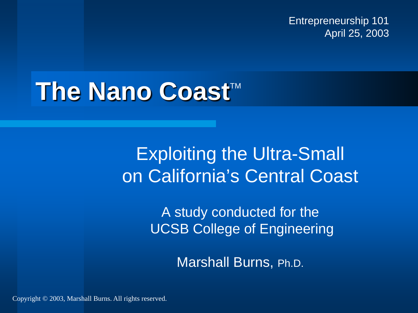Entrepreneurship 101 April 25, 2003

### **The Nano Coast™**

### Exploiting the Ultra-Small on California's Central Coast

A study conducted for the UCSB College of Engineering

Marshall Burns, Ph.D.

Copyright © 2003, Marshall Burns. All rights reserved.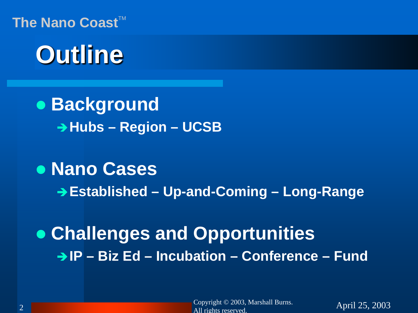### **Outline**

 **Background Hubs – Region – UCSB**

#### **Nano Cases**

**Established – Up-and-Coming – Long-Range**

 **Challenges and Opportunities IP – Biz Ed – Incubation – Conference – Fund**

Copyright © 2003, Marshall Burns.<br>
April 25, 2003  $\frac{2}{\text{All rights reserved}}$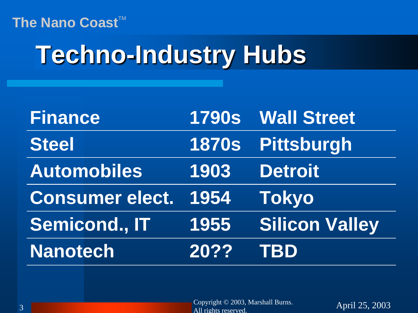## **Techno-Industry Hubs**

| <b>Finance</b>         |      | 1790s Wall Street     |
|------------------------|------|-----------------------|
| <b>Steel</b>           |      | 1870s Pittsburgh      |
| <b>Automobiles</b>     | 1903 | <b>Detroit</b>        |
| <b>Consumer elect.</b> | 1954 | <b>Tokyo</b>          |
| <b>Semicond., IT</b>   | 1955 | <b>Silicon Valley</b> |
| <b>Nanotech</b>        | 20?? | <b>TBD</b>            |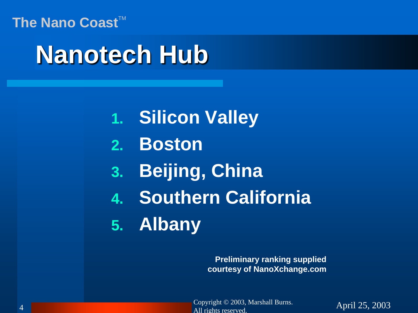### **Nanotech Hub**

- **1. Silicon Valley**
- **2. Boston**
- **3. Beijing, China**
- **4. Southern California**
- **5. Albany**

**Preliminary ranking supplied courtesy of NanoXchange.com**

Copyright © 2003, Marshall Burns.<br>
April 25, 2003 All rights reserved.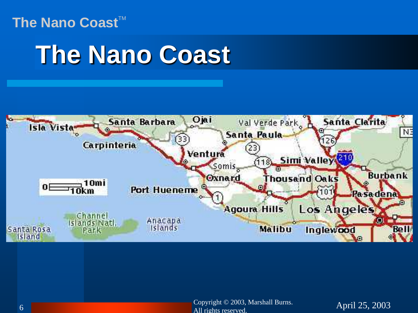### **The Nano Coast**



Copyright © 2003, Marshall Burns.<br>April 25, 2003 6 **All rights reserved.**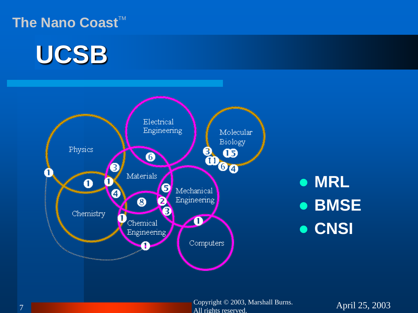#### **The Nano Coast<sup>TM</sup>**

### **UCSB**



### **MRL BMSE CNSI**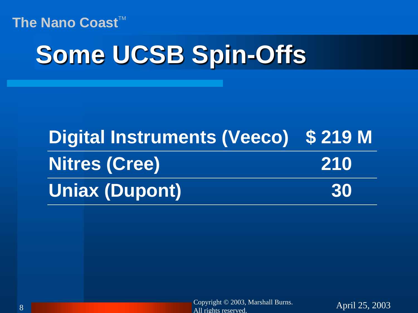### **Some UCSB Spin-Offs**

| Digital Instruments (Veeco) \$219 M |     |
|-------------------------------------|-----|
| <b>Nitres (Cree)</b>                | 210 |
| <b>Uniax (Dupont)</b>               | 30  |

Copyright © 2003, Marshall Burns.<br>April 25, 2003  $\frac{1}{\text{All rights reserved}}$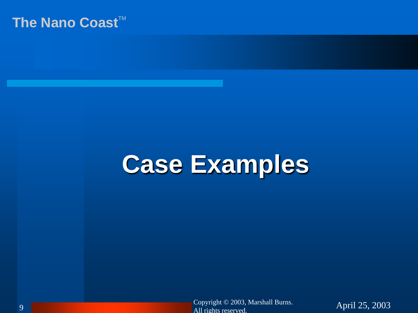### **Case Examples**

Copyright © 2003, Marshall Burns.<br>April 25, 2003  $\frac{1}{\text{All rights reserved.}}$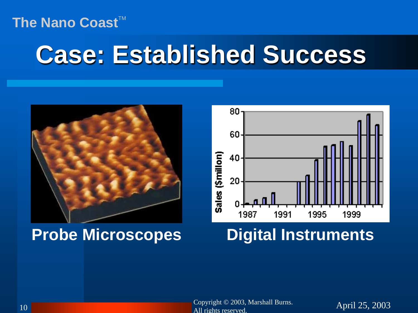### **Case: Established Success**



#### **Probe Microscopes Digital Instruments**



Copyright © 2003, Marshall Burns.<br>
April 25, 2003 all rights reserved.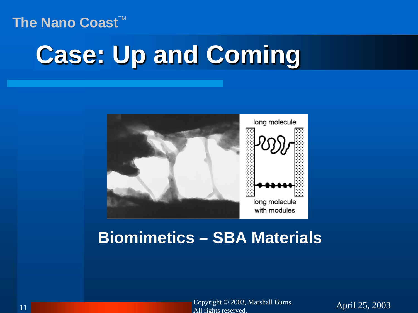# **Case: Up and Coming**



#### **Biomimetics – SBA Materials**

Copyright © 2003, Marshall Burns.<br>April 25, 2003 and the contract of the contract of the contract of the contract of the contract of the contract of the contract of the contract of the contract of the contract of the contract of the contract of the contract of the contra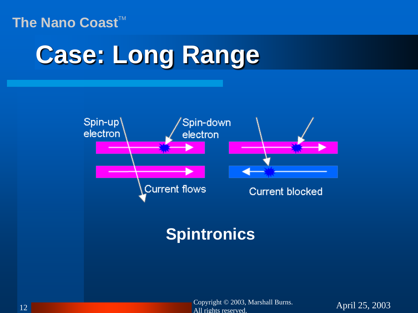### **Case: Long Range**



### **Spintronics**

Copyright © 2003, Marshall Burns.<br>All the maximal control of the April 25, 2003 12 **All rights reserved.**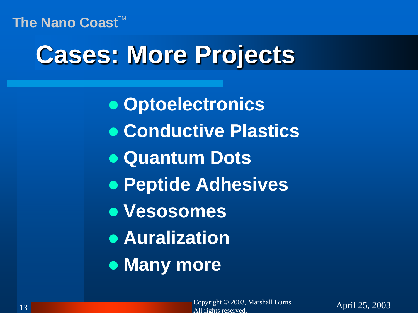### **Cases: More Projects**

 **Optoelectronics Conductive Plastics Quantum Dots Peptide Adhesives Vesosomes Auralization Many more**

Copyright © 2003, Marshall Burns.<br>
April 25, 2003 13 **All rights reserved**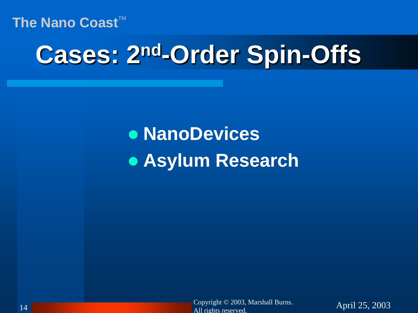### **Cases: 2nd-Order Spin-Offs**

 **NanoDevices Asylum Research**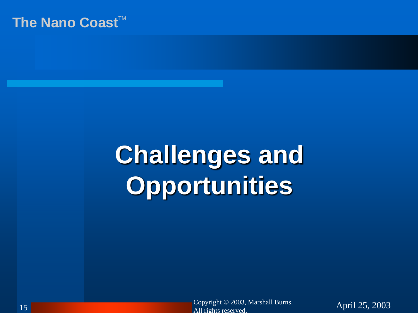## **Challenges and Opportunities**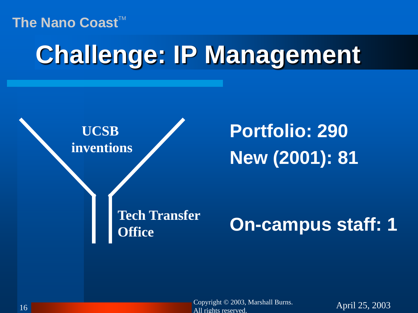### **Challenge: IP Management**



Copyright © 2003, Marshall Burns.<br>
April 25, 2003 16 and 16 and 16 and 16 and 16 and 16 and 16 and 16 and 16 and 16 and 16 and 16 and 16 and 16 and 16 and 16 and 16 and 16 and 16 and 16 and 16 and 16 and 16 and 16 and 16 and 16 and 16 and 16 and 16 and 16 and 16 and 16 an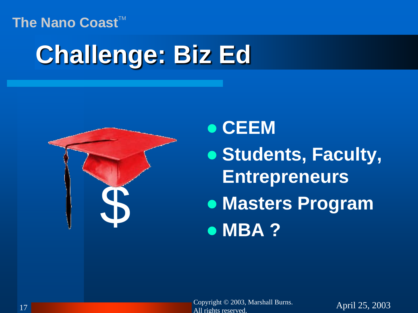#### The Nano Coast<sup>™</sup>

# **Challenge: Biz Ed**



**• CEEM** 

 **Students, Faculty, Entrepreneurs • Masters Program<br>• MBA ?**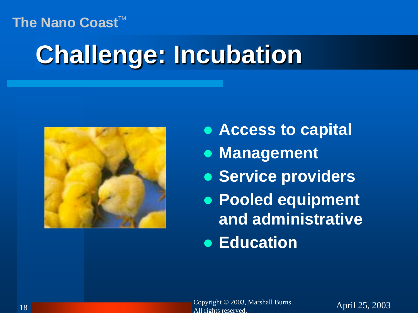# **Challenge: Incubation**



- **Access to capital**
- **[Man](http://www.bernalpublishing.com/)agement**
- **Service providers**
- **Pooled equipment and administrative**
- **Education**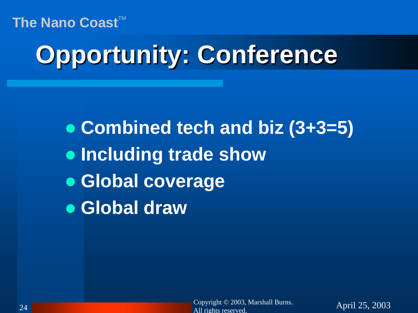# **Opportunity: Conference**

 **Combined tech and biz (3+3=5) Including trade show Global coverage Global draw**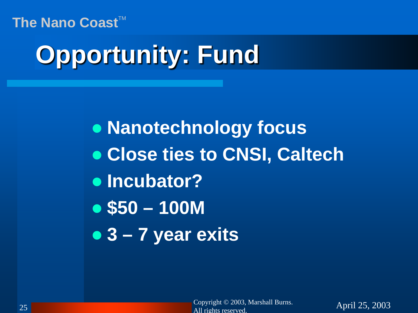# **Opportunity: Fund**

 **Nanotechnology focus Close ties to CNSI, Caltech Incubator? \$50 – 100M 3 – 7 year exits**